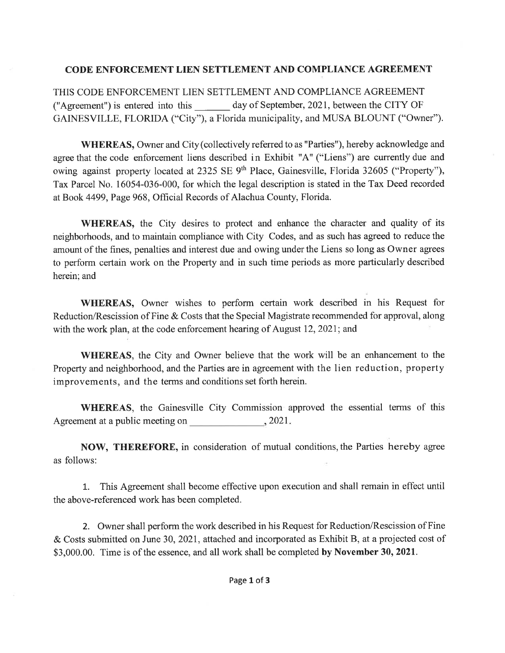## CODE ENFORCEMENT LIEN SETTLEMENT AND COMPLIANCE AGREEMENT

THIS CODE ENFORCEMENT LIEN SETTLEMENT AND COMPLIANCE AGREEMENT ("Agreement") is entered into this day of September,202l, between the CITY OF GAINESVILLE, FLORIDA ("City"), a Florida municipality, and MUSA BLOUNT ("Owner").

WHEREAS, Owner and City (collectively referred to as "Parties"), hereby acknowledge and agree that the code enforcement liens described in Exhibit "A" ("Liens") are currently due and owing against property located at 2325 SE 9<sup>th</sup> Place, Gainesville, Florida 32605 ("Property"), Tax Parcel No. 16054-036-000, for which the legal description is stated in the Tax Deed recorded at Book 4499, Page 968, Official Records of Alachua County, Florida.

WHEREAS, the City desires to protect and enhance the character and quality of its neighborhoods, and to maintain compliance with City Codes, and as such has agreed to reduce the amount of the fines, penalties and interest due and owing under the Liens so long as Owner agrees to perform certain work on the Property and in such time periods as more particularly described herein; and

WHEREAS, Owner wishes to perform certain work described in his Request for Reduction/Rescission of Fine & Costs that the Special Magistrate recommended for approval, along with the work plan, at the code enforcement hearing of August 12, 2021; and

WHEREAS, the City and Owner believe that the work will be an enhancement to the Property and neighborhood, and the Parties are in agreement with the lien reduction, property improvements, and the terms and conditions set forth herein.

WHEREAS, the Gainesville City Commission approved the essential terms of this Agreement at a public meeting on  $, 2021.$ 

NOW, THEREFORE, in consideration of mutual conditions, the Parties hereby agree as follows:

L. This Agreement shall become effective upon execution and shall remain in effect until the above-referenced work has been completed.

2. Owner shall perform the work described in his Request for Reduction/Rescission of Fine & Costs submitted on June 30,202I, attached and incorporated as Exhibit B, at a projected cost of \$3,000.00. Time is of the essence, and all work shall be completed by November 30, 2021.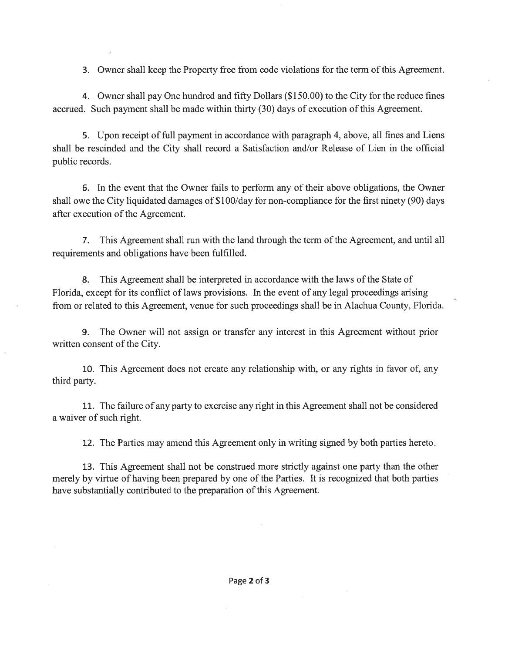3. Owner shall keep the Property free from code violations for the term of this Agreement.

4. Owner shall pay One hundred and fifty Dollars (\$150.00) to the City for the reduce fines accrued. Such payment shall be made within thirty  $(30)$  days of execution of this Agreement.

5. Upon receipt of full payment in accordance with paragraph 4, above, all fines and Liens shall be rescinded and the City shall record a Satisfaction and/or Release of Lien in the official public records.

6. In the event that the Owner fails to perform any of their above obligations, the Owner shall owe the City liquidated damages of \$100/day for non-compliance for the first ninety (90) days after execution of the Agreement.

7. This Agreement shall run with the land through the term of the Agreement, and until all requirements and obligations have been fulfilled.

8. This Agreement shall be interpreted in accordance with the laws of the State of Florida, except for its conflict of laws provisions. In the event of any legal proceedings arising from or related to this Agreement, venue for such proceedings shall be in Alachua County, Florida.

9. The Owner will not assign or transfer any interest in this Agreement without prior written consent of the City.

L0. This Agreement does not create any relationship with, or any rights in favor of, any third party.

11. The failure of any party to exercise any right in this Agreement shall not be considered a waiver of such right.

12. The Parties may amend this Agreement only in writing signed by both parties hereto

13. This Agreement shall not be construed more strictly against one party than the other merely by virtue of having been prepared by one of the Parties. It is recognized that both parties have substantially contributed to the preparation of this Agreement.